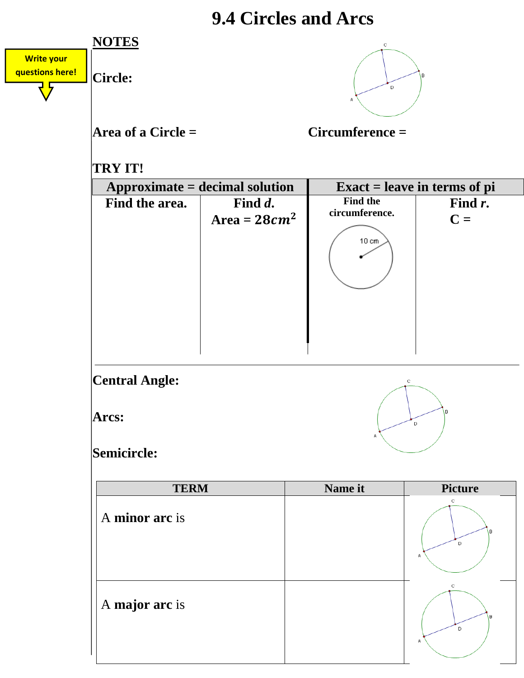## **9.4 Circles and Arcs**

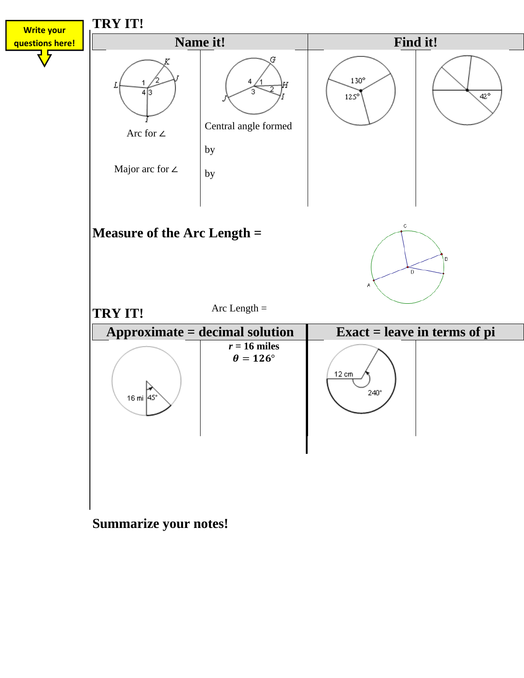

**Summarize your notes!**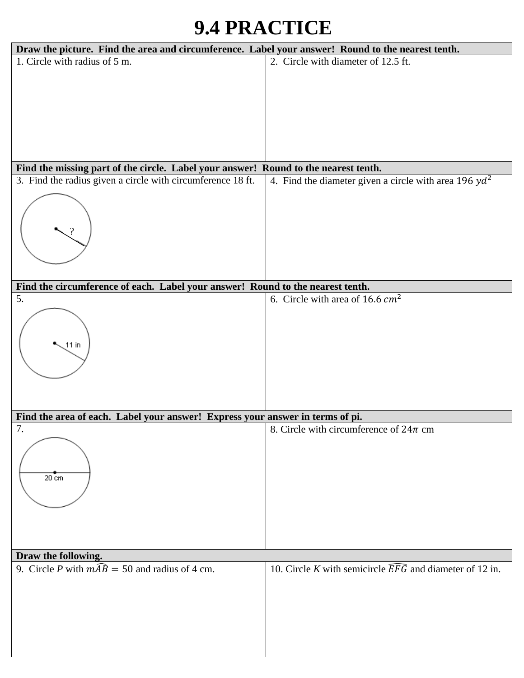## **9.4 PRACTICE**

| Draw the picture. Find the area and circumference. Label your answer! Round to the nearest tenth. |                                                                     |
|---------------------------------------------------------------------------------------------------|---------------------------------------------------------------------|
| 1. Circle with radius of 5 m.                                                                     | 2. Circle with diameter of 12.5 ft.                                 |
|                                                                                                   |                                                                     |
|                                                                                                   |                                                                     |
|                                                                                                   |                                                                     |
|                                                                                                   |                                                                     |
|                                                                                                   |                                                                     |
|                                                                                                   |                                                                     |
|                                                                                                   |                                                                     |
|                                                                                                   |                                                                     |
| Find the missing part of the circle. Label your answer! Round to the nearest tenth.               |                                                                     |
| 3. Find the radius given a circle with circumference 18 ft.                                       | 4. Find the diameter given a circle with area 196 $yd^2$            |
|                                                                                                   |                                                                     |
|                                                                                                   |                                                                     |
|                                                                                                   |                                                                     |
|                                                                                                   |                                                                     |
|                                                                                                   |                                                                     |
|                                                                                                   |                                                                     |
|                                                                                                   |                                                                     |
| Find the circumference of each. Label your answer! Round to the nearest tenth.                    |                                                                     |
| 5.                                                                                                | 6. Circle with area of 16.6 $cm2$                                   |
|                                                                                                   |                                                                     |
|                                                                                                   |                                                                     |
|                                                                                                   |                                                                     |
| $11$ in                                                                                           |                                                                     |
|                                                                                                   |                                                                     |
|                                                                                                   |                                                                     |
|                                                                                                   |                                                                     |
|                                                                                                   |                                                                     |
|                                                                                                   |                                                                     |
| Find the area of each. Label your answer! Express your answer in terms of pi.                     |                                                                     |
| 7.                                                                                                | 8. Circle with circumference of $24\pi$ cm                          |
|                                                                                                   |                                                                     |
|                                                                                                   |                                                                     |
|                                                                                                   |                                                                     |
| $20 \text{ cm}$                                                                                   |                                                                     |
|                                                                                                   |                                                                     |
|                                                                                                   |                                                                     |
|                                                                                                   |                                                                     |
|                                                                                                   |                                                                     |
|                                                                                                   |                                                                     |
|                                                                                                   |                                                                     |
| Draw the following.                                                                               |                                                                     |
| 9. Circle P with $m\widehat{AB} = 50$ and radius of 4 cm.                                         | 10. Circle K with semicircle $\widehat{EFG}$ and diameter of 12 in. |
|                                                                                                   |                                                                     |
|                                                                                                   |                                                                     |
|                                                                                                   |                                                                     |
|                                                                                                   |                                                                     |
|                                                                                                   |                                                                     |
|                                                                                                   |                                                                     |
|                                                                                                   |                                                                     |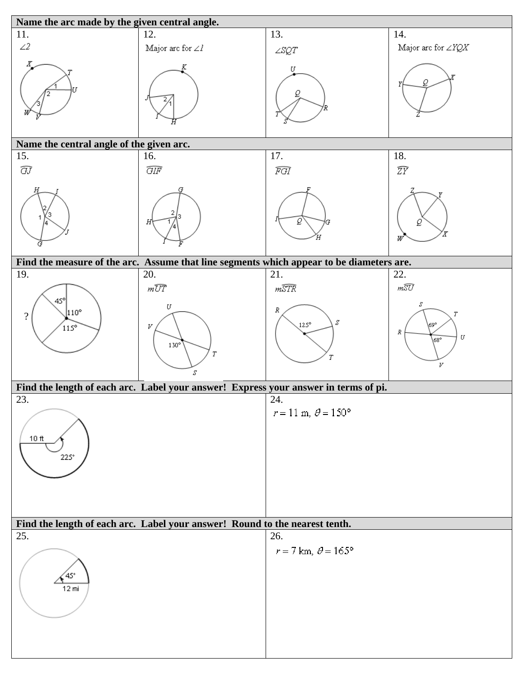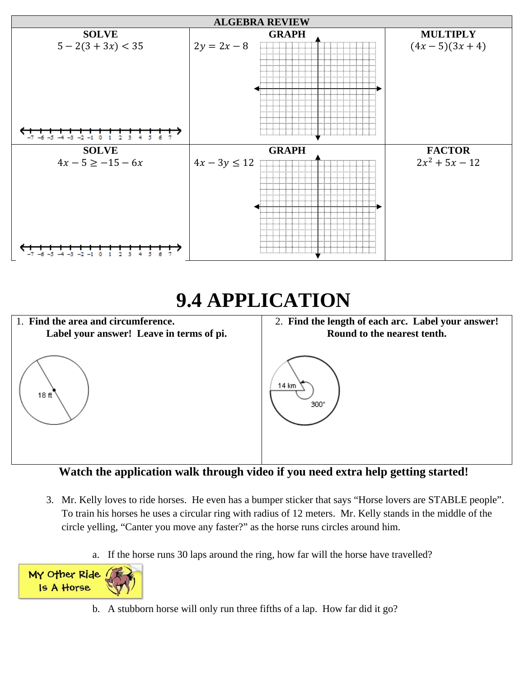

## **9.4 APPLICATION**



Watch the application walk through video if you need extra help getting started!

- 3. Mr. Kelly loves to ride horses. He even has a bumper sticker that says "Horse lovers are STABLE people". To train his horses he uses a circular ring with radius of 12 meters. Mr. Kelly stands in the middle of the circle yelling, "Canter you move any faster?" as the horse runs circles around him.
	- a. If the horse runs 30 laps around the ring, how far will the horse have travelled?



b. A stubborn horse will only run three fifths of a lap. How far did it go?